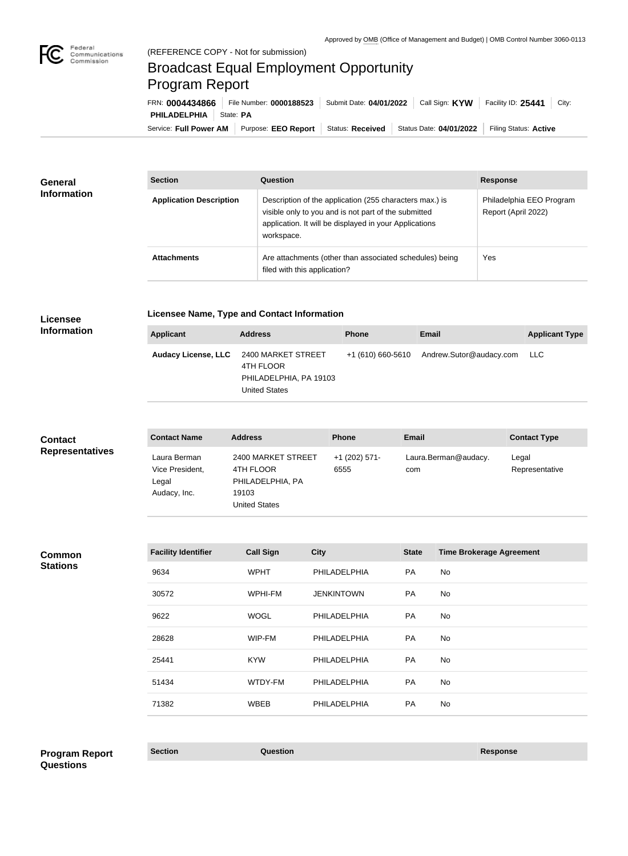

# Broadcast Equal Employment Opportunity Program Report

Service: Full Power AM | Purpose: EEO Report | Status: Received | Status Date: 04/01/2022 | Filing Status: Active **PHILADELPHIA** State: PA FRN: **0004434866** File Number: **0000188523** Submit Date: **04/01/2022** Call Sign: **KYW** Facility ID: **25441** City:

| <b>General</b><br><b>Information</b> | <b>Section</b>                 | <b>Question</b>                                                                                                                                                                         | <b>Response</b>                                 |
|--------------------------------------|--------------------------------|-----------------------------------------------------------------------------------------------------------------------------------------------------------------------------------------|-------------------------------------------------|
|                                      | <b>Application Description</b> | Description of the application (255 characters max.) is<br>visible only to you and is not part of the submitted<br>application. It will be displayed in your Applications<br>workspace. | Philadelphia EEO Program<br>Report (April 2022) |
|                                      | <b>Attachments</b>             | Are attachments (other than associated schedules) being<br>filed with this application?                                                                                                 | Yes                                             |

### **Licensee Information**

**Licensee Name, Type and Contact Information**

| Applicant | <b>Address</b>                                                                                        | <b>Phone</b> | Email                                     | <b>Applicant Type</b> |
|-----------|-------------------------------------------------------------------------------------------------------|--------------|-------------------------------------------|-----------------------|
|           | Audacy License, LLC 2400 MARKET STREET<br>4TH FLOOR<br>PHILADELPHIA, PA 19103<br><b>United States</b> |              | +1 (610) 660-5610 Andrew.Sutor@audacy.com | LLC.                  |

| <b>Contact</b>         | <b>Contact Name</b>                                      | <b>Address</b>                                                                       | <b>Phone</b>          | <b>Email</b>                | <b>Contact Type</b>     |
|------------------------|----------------------------------------------------------|--------------------------------------------------------------------------------------|-----------------------|-----------------------------|-------------------------|
| <b>Representatives</b> | Laura Berman<br>Vice President,<br>Legal<br>Audacy, Inc. | 2400 MARKET STREET<br>4TH FLOOR<br>PHILADELPHIA, PA<br>19103<br><b>United States</b> | +1 (202) 571-<br>6555 | Laura.Berman@audacy.<br>com | Legal<br>Representative |

#### **Common Stations**

| <b>Facility Identifier</b> | <b>Call Sign</b> | <b>City</b>       | <b>State</b> | <b>Time Brokerage Agreement</b> |
|----------------------------|------------------|-------------------|--------------|---------------------------------|
| 9634                       | <b>WPHT</b>      | PHILADELPHIA      | <b>PA</b>    | No                              |
| 30572                      | WPHI-FM          | <b>JENKINTOWN</b> | <b>PA</b>    | No                              |
| 9622                       | <b>WOGL</b>      | PHILADELPHIA      | <b>PA</b>    | No                              |
| 28628                      | WIP-FM           | PHILADELPHIA      | <b>PA</b>    | No                              |
| 25441                      | <b>KYW</b>       | PHILADELPHIA      | PA           | No                              |
| 51434                      | WTDY-FM          | PHILADELPHIA      | <b>PA</b>    | No                              |
| 71382                      | <b>WBEB</b>      | PHILADELPHIA      | <b>PA</b>    | No                              |
|                            |                  |                   |              |                                 |